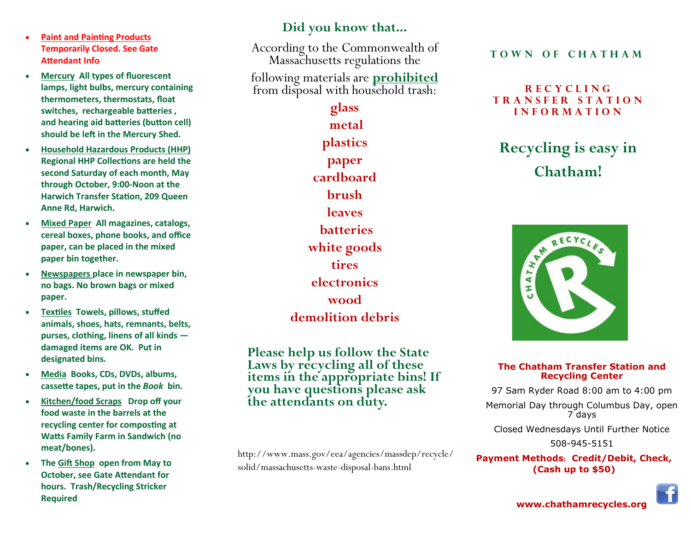- **Paint and Painting Products Temporarily Closed. See Gate Attendant Info**
- **Mercury All types of fluorescent lamps, light bulbs, mercury containing thermometers, thermostats, float switches, rechargeable batteries , and hearing aid batteries (button cell) should be left in the Mercury Shed.**
- **Household Hazardous Products (HHP) Regional HHP Collections are held the second Saturday of each month, May through October, 9:00-Noon at the Harwich Transfer Station, 209 Queen Anne Rd, Harwich.**
- **Mixed Paper All magazines, catalogs, cereal boxes, phone books, and office paper, can be placed in the mixed paper bin together.**
- **Newspapers place in newspaper bin, no bags. No brown bags or mixed paper.**
- **Textiles Towels, pillows, stuffed animals, shoes, hats, remnants, belts, purses, clothing, linens of all kinds damaged items are OK. Put in designated bins.**
- **Media Books, CDs, DVDs, albums, cassette tapes, put in the** *Book* **bin.**
- **Kitchen/food Scraps Drop off your food waste in the barrels at the recycling center for composting at Watts Family Farm in Sandwich (no meat/bones).**
- **The Gift Shop open from May to October, see Gate Attendant for hours. Trash/Recycling Stricker Required**

### **Did you know that...**

According to the Commonwealth of Massachusetts regulations the

following materials are **prohibited** from disposal with household trash:

## **glass metal plastics paper cardboard brush leaves batteries white goods tires electronics wood demolition debris**

**Please help us follow the State Laws by recycling all of these items in the appropriate bins! If you have questions please ask the attendants on duty.**

http://www.mass.gov/eea/agencies/massdep/recycle/ solid/massachusetts-waste-disposal-bans.html

**T O W N O F C H A T H A M**

#### **R E C Y C L I N G T R A N S F E R S T A T I O N I N F O R M A T I O N**

**Recycling is easy in Chatham!**



#### **The Chatham Transfer Station and Recycling Center**

97 Sam Ryder Road 8:00 am to 4:00 pm

Memorial Day through Columbus Day, open 7 days

Closed Wednesdays Until Further Notice

508-945-5151

**Payment Methods: Credit/Debit, Check, (Cash up to \$50)**